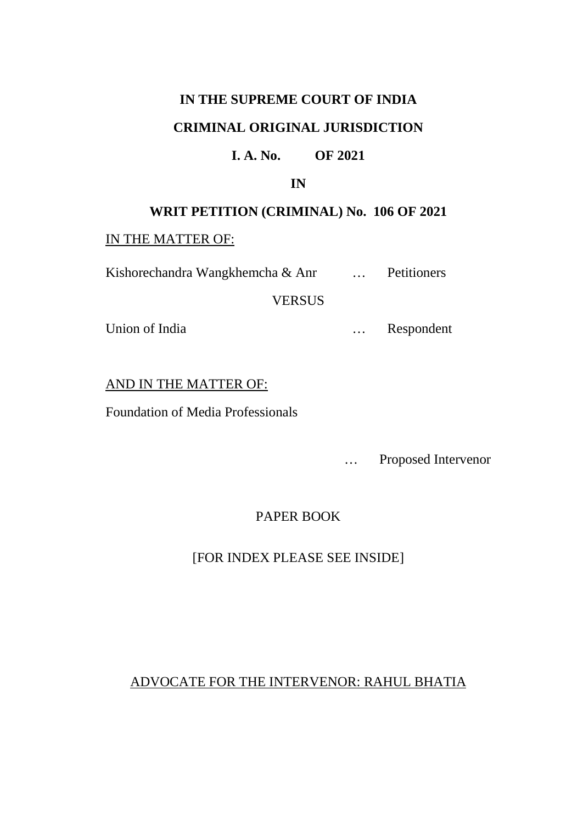# **IN THE SUPREME COURT OF INDIA CRIMINAL ORIGINAL JURISDICTION**

### **I. A. No. OF 2021**

#### **IN**

# **WRIT PETITION (CRIMINAL) No. 106 OF 2021**

#### IN THE MATTER OF:

Kishorechandra Wangkhemcha & Anr ... Petitioners

# VERSUS

Union of India <br>
... Respondent

# AND IN THE MATTER OF:

Foundation of Media Professionals

… Proposed Intervenor

# PAPER BOOK

# [FOR INDEX PLEASE SEE INSIDE]

# ADVOCATE FOR THE INTERVENOR: RAHUL BHATIA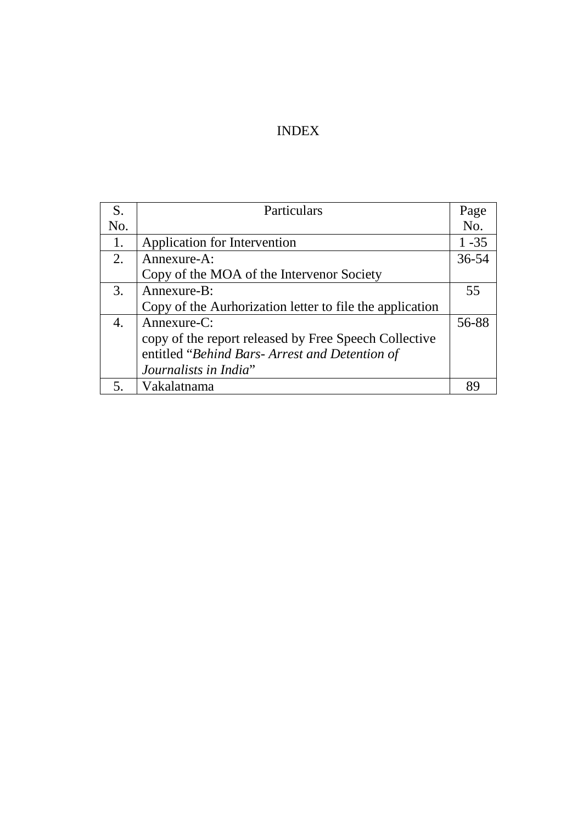# INDEX

| S.  | Particulars                                              | Page     |
|-----|----------------------------------------------------------|----------|
| No. |                                                          | No.      |
| 1.  | Application for Intervention                             | $1 - 35$ |
| 2.  | Annexure-A:                                              | 36-54    |
|     | Copy of the MOA of the Intervenor Society                |          |
| 3.  | Annexure-B:                                              | 55       |
|     | Copy of the Aurhorization letter to file the application |          |
| 4.  | Annexure-C:                                              | 56-88    |
|     | copy of the report released by Free Speech Collective    |          |
|     | entitled "Behind Bars- Arrest and Detention of           |          |
|     | Journalists in India"                                    |          |
|     | Vakalatnama                                              | gο       |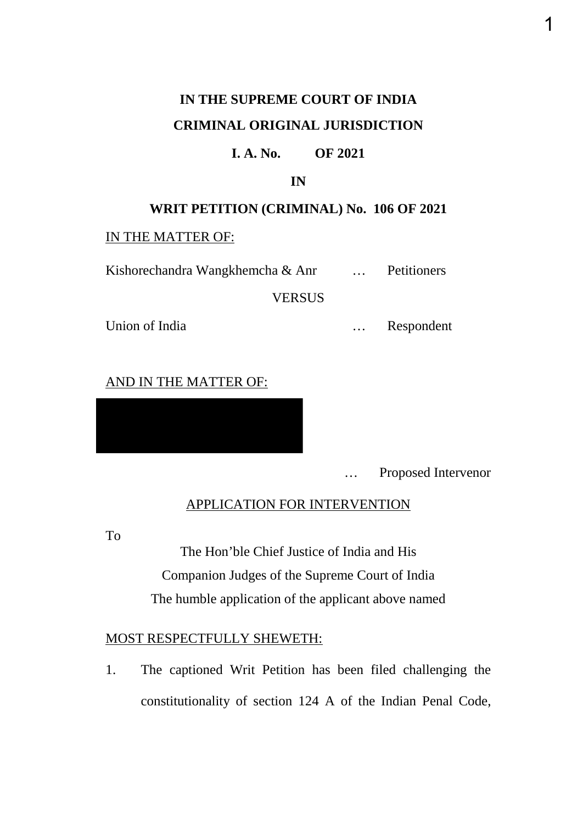# **IN THE SUPREME COURT OF INDIA CRIMINAL ORIGINAL JURISDICTION**

#### **I. A. No. OF 2021**

**IN**

#### **WRIT PETITION (CRIMINAL) No. 106 OF 2021**

#### IN THE MATTER OF:

Kishorechandra Wangkhemcha & Anr [11]. Petitioners

**VERSUS** 

Union of India … Respondent

#### AND IN THE MATTER OF:

… Proposed Intervenor

### APPLICATION FOR INTERVENTION

To

The Hon'ble Chief Justice of India and His Companion Judges of the Supreme Court of India The humble application of the applicant above named

### MOST RESPECTFULLY SHEWETH:

1. The captioned Writ Petition has been filed challenging the constitutionality of section 124 A of the Indian Penal Code,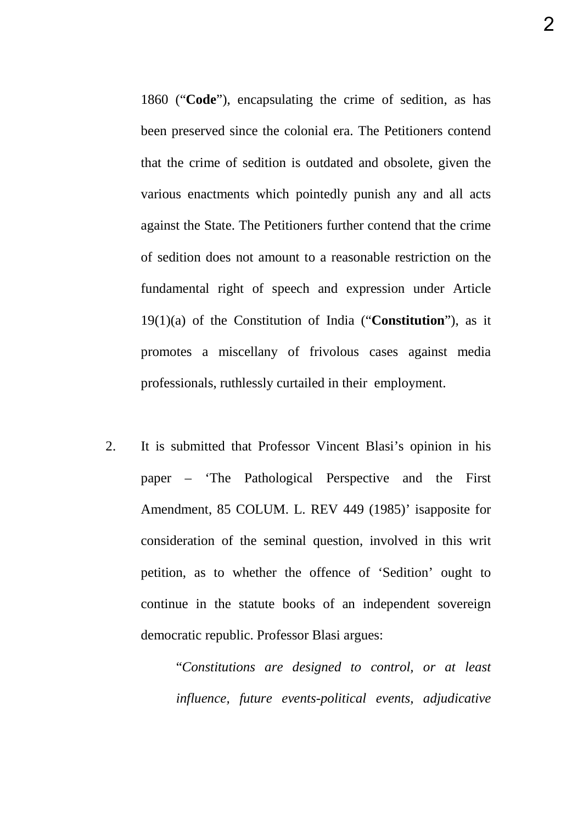1860 ("**Code**"), encapsulating the crime of sedition, as has been preserved since the colonial era. The Petitioners contend that the crime of sedition is outdated and obsolete, given the various enactments which pointedly punish any and all acts against the State. The Petitioners further contend that the crime of sedition does not amount to a reasonable restriction on the fundamental right of speech and expression under Article 19(1)(a) of the Constitution of India ("**Constitution**"), as it promotes a miscellany of frivolous cases against media professionals, ruthlessly curtailed in their employment.

2. It is submitted that Professor Vincent Blasi's opinion in his paper – 'The Pathological Perspective and the First Amendment, 85 COLUM. L. REV 449 (1985)' isapposite for consideration of the seminal question, involved in this writ petition, as to whether the offence of 'Sedition' ought to continue in the statute books of an independent sovereign democratic republic. Professor Blasi argues:

> "*Constitutions are designed to control, or at least influence, future events-political events, adjudicative*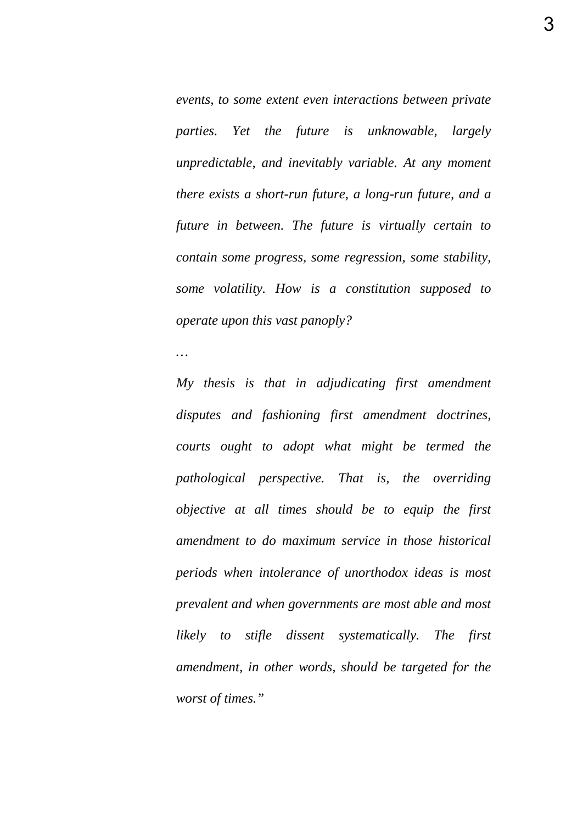*events, to some extent even interactions between private parties. Yet the future is unknowable, largely unpredictable, and inevitably variable. At any moment there exists a short-run future, a long-run future, and a future in between. The future is virtually certain to contain some progress, some regression, some stability, some volatility. How is a constitution supposed to operate upon this vast panoply?*

*…* 

*My thesis is that in adjudicating first amendment disputes and fashioning first amendment doctrines, courts ought to adopt what might be termed the pathological perspective. That is, the overriding objective at all times should be to equip the first amendment to do maximum service in those historical periods when intolerance of unorthodox ideas is most prevalent and when governments are most able and most likely to stifle dissent systematically. The first amendment, in other words, should be targeted for the worst of times."*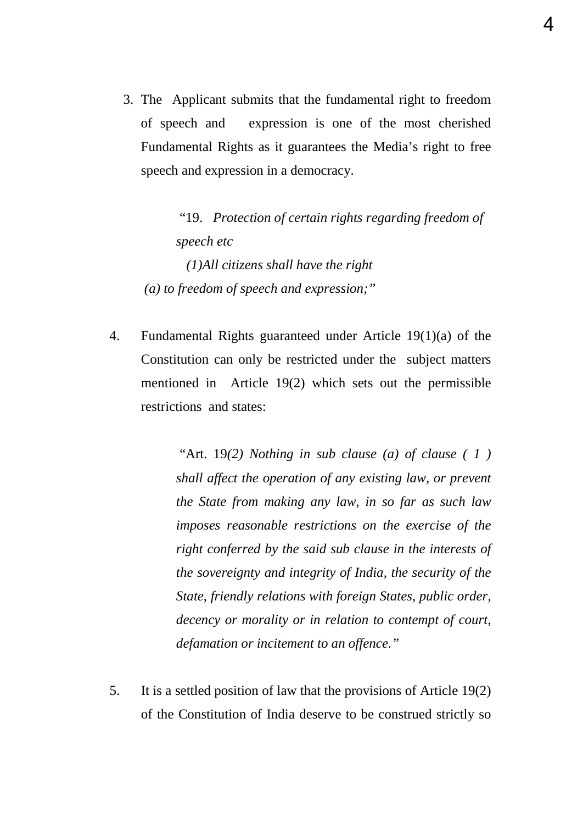3. The Applicant submits that the fundamental right to freedom of speech and expression is one of the most cherished Fundamental Rights as it guarantees the Media's right to free speech and expression in a democracy.

 "19. *Protection of certain rights regarding freedom of speech etc (1)All citizens shall have the right (a) to freedom of speech and expression;"* 

4. Fundamental Rights guaranteed under Article 19(1)(a) of the Constitution can only be restricted under the subject matters mentioned in Article 19(2) which sets out the permissible restrictions and states:

> "Art. 19*(2) Nothing in sub clause (a) of clause ( 1 ) shall affect the operation of any existing law, or prevent the State from making any law, in so far as such law imposes reasonable restrictions on the exercise of the right conferred by the said sub clause in the interests of the sovereignty and integrity of India, the security of the State, friendly relations with foreign States, public order, decency or morality or in relation to contempt of court, defamation or incitement to an offence."*

5. It is a settled position of law that the provisions of Article 19(2) of the Constitution of India deserve to be construed strictly so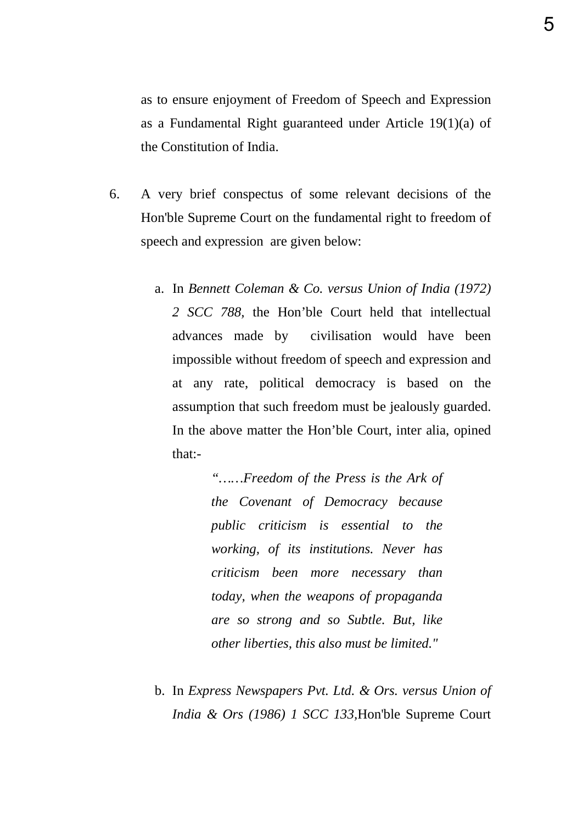as to ensure enjoyment of Freedom of Speech and Expression as a Fundamental Right guaranteed under Article 19(1)(a) of the Constitution of India.

- 6. A very brief conspectus of some relevant decisions of the Hon'ble Supreme Court on the fundamental right to freedom of speech and expression are given below:
	- a. In *Bennett Coleman & Co. versus Union of India (1972) 2 SCC 788,* the Hon'ble Court held that intellectual advances made by civilisation would have been impossible without freedom of speech and expression and at any rate, political democracy is based on the assumption that such freedom must be jealously guarded. In the above matter the Hon'ble Court, inter alia, opined that:-

*"……Freedom of the Press is the Ark of the Covenant of Democracy because public criticism is essential to the working, of its institutions. Never has criticism been more necessary than today, when the weapons of propaganda are so strong and so Subtle. But, like other liberties, this also must be limited."*

b. In *Express Newspapers Pvt. Ltd. & Ors. versus Union of India & Ors (1986) 1 SCC 133,*Hon'ble Supreme Court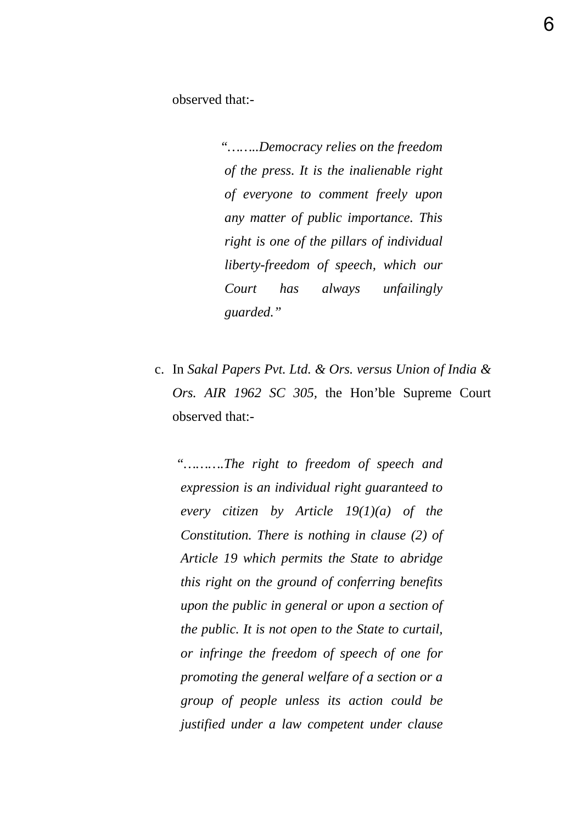observed that:-

 *"……..Democracy relies on the freedom of the press. It is the inalienable right of everyone to comment freely upon any matter of public importance. This right is one of the pillars of individual liberty-freedom of speech, which our Court has always unfailingly guarded."*

c. In *Sakal Papers Pvt. Ltd. & Ors. versus Union of India & Ors. AIR 1962 SC 305,* the Hon'ble Supreme Court observed that:-

*"……….The right to freedom of speech and expression is an individual right guaranteed to every citizen by Article 19(1)(a) of the Constitution. There is nothing in clause (2) of Article 19 which permits the State to abridge this right on the ground of conferring benefits upon the public in general or upon a section of the public. It is not open to the State to curtail, or infringe the freedom of speech of one for promoting the general welfare of a section or a group of people unless its action could be justified under a law competent under clause*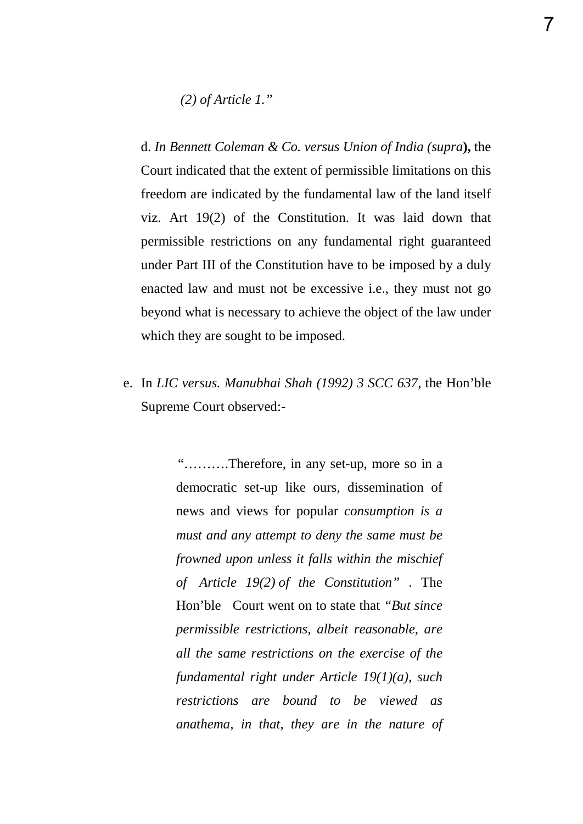*(2) of Article 1."*

d. *In Bennett Coleman & Co. versus Union of India (supra***),** the Court indicated that the extent of permissible limitations on this freedom are indicated by the fundamental law of the land itself viz. Art 19(2) of the Constitution. It was laid down that permissible restrictions on any fundamental right guaranteed under Part III of the Constitution have to be imposed by a duly enacted law and must not be excessive i.e., they must not go beyond what is necessary to achieve the object of the law under which they are sought to be imposed.

e. In *LIC versus. Manubhai Shah (1992) 3 SCC 637,* the Hon'ble Supreme Court observed:-

> "……….Therefore, in any set-up, more so in a democratic set-up like ours, dissemination of news and views for popular *consumption is a must and any attempt to deny the same must be frowned upon unless it falls within the mischief of Article 19(2) of the Constitution"* . The Hon'ble Court went on to state that *"But since permissible restrictions, albeit reasonable, are all the same restrictions on the exercise of the fundamental right under Article 19(1)(a), such restrictions are bound to be viewed as anathema, in that, they are in the nature of*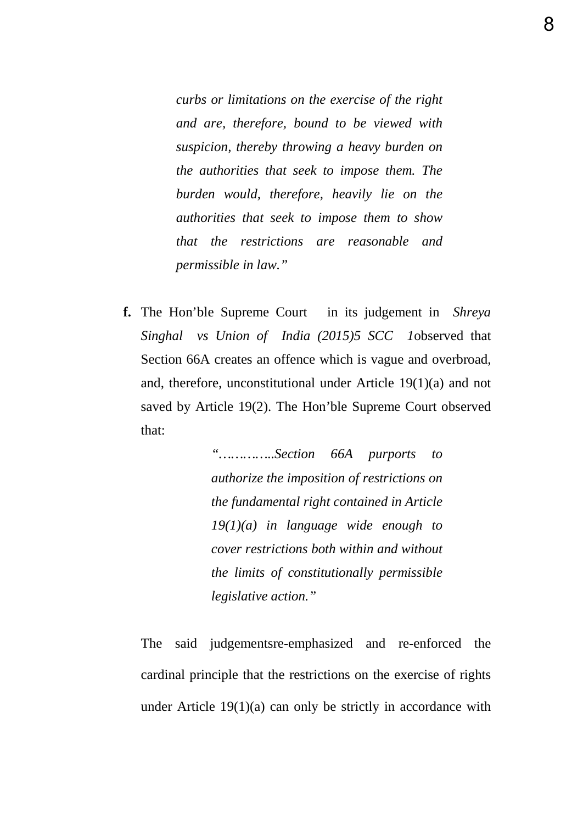*curbs or limitations on the exercise of the right and are, therefore, bound to be viewed with suspicion, thereby throwing a heavy burden on the authorities that seek to impose them. The burden would, therefore, heavily lie on the authorities that seek to impose them to show that the restrictions are reasonable and permissible in law."*

**f.** The Hon'ble Supreme Court in its judgement in *Shreya Singhal vs Union of India (2015)5 SCC 1*observed that Section 66A creates an offence which is vague and overbroad, and, therefore, unconstitutional under Article 19(1)(a) and not saved by Article 19(2). The Hon'ble Supreme Court observed that:

> *"…………..Section 66A purports to authorize the imposition of restrictions on the fundamental right contained in Article 19(1)(a) in language wide enough to cover restrictions both within and without the limits of constitutionally permissible legislative action."*

The said judgementsre-emphasized and re-enforced the cardinal principle that the restrictions on the exercise of rights under Article 19(1)(a) can only be strictly in accordance with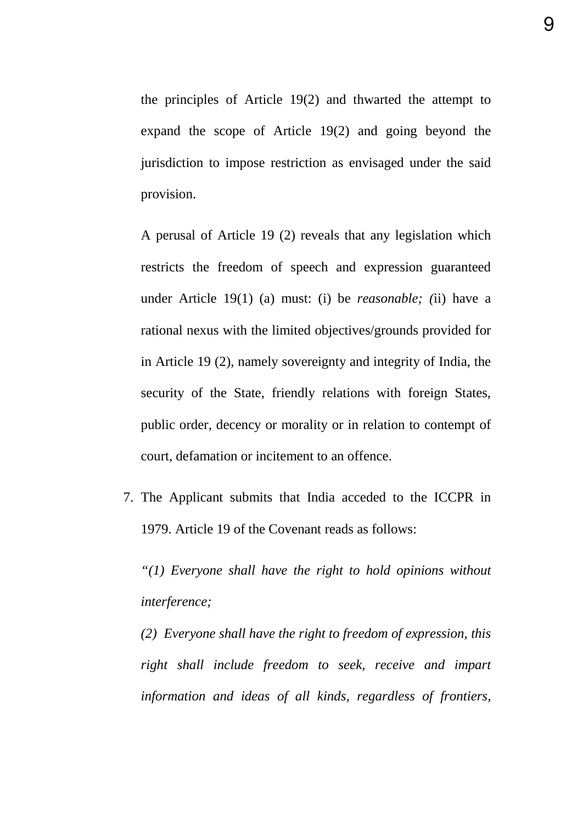the principles of Article 19(2) and thwarted the attempt to expand the scope of Article 19(2) and going beyond the jurisdiction to impose restriction as envisaged under the said provision.

A perusal of Article 19 (2) reveals that any legislation which restricts the freedom of speech and expression guaranteed under Article 19(1) (a) must: (i) be *reasonable; (*ii) have a rational nexus with the limited objectives/grounds provided for in Article 19 (2), namely sovereignty and integrity of India, the security of the State, friendly relations with foreign States, public order, decency or morality or in relation to contempt of court, defamation or incitement to an offence.

7. The Applicant submits that India acceded to the ICCPR in 1979. Article 19 of the Covenant reads as follows:

*"(1) Everyone shall have the right to hold opinions without interference;*

*(2) Everyone shall have the right to freedom of expression, this right shall include freedom to seek, receive and impart information and ideas of all kinds, regardless of frontiers,*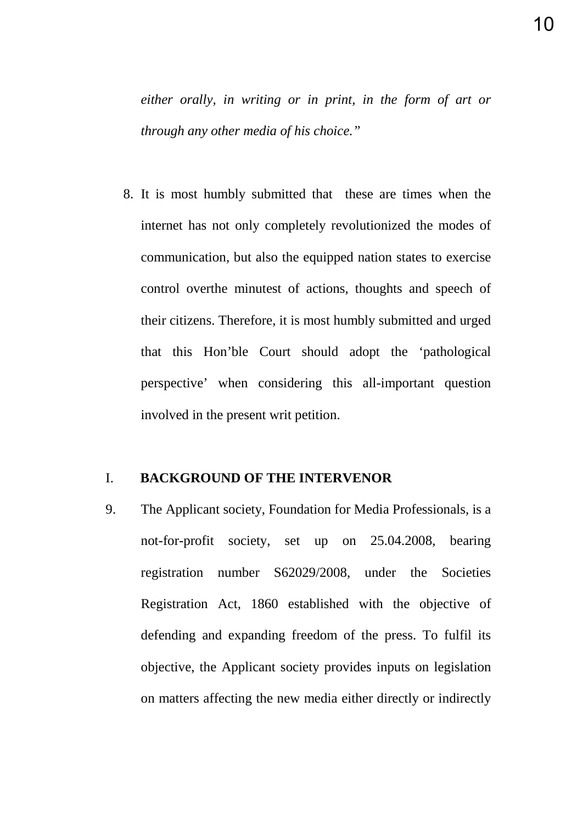*either orally, in writing or in print, in the form of art or through any other media of his choice."*

8. It is most humbly submitted that these are times when the internet has not only completely revolutionized the modes of communication, but also the equipped nation states to exercise control overthe minutest of actions, thoughts and speech of their citizens. Therefore, it is most humbly submitted and urged that this Hon'ble Court should adopt the 'pathological perspective' when considering this all-important question involved in the present writ petition.

# I. **BACKGROUND OF THE INTERVENOR**

9. The Applicant society, Foundation for Media Professionals, is a not-for-profit society, set up on 25.04.2008, bearing registration number S62029/2008, under the Societies Registration Act, 1860 established with the objective of defending and expanding freedom of the press. To fulfil its objective, the Applicant society provides inputs on legislation on matters affecting the new media either directly or indirectly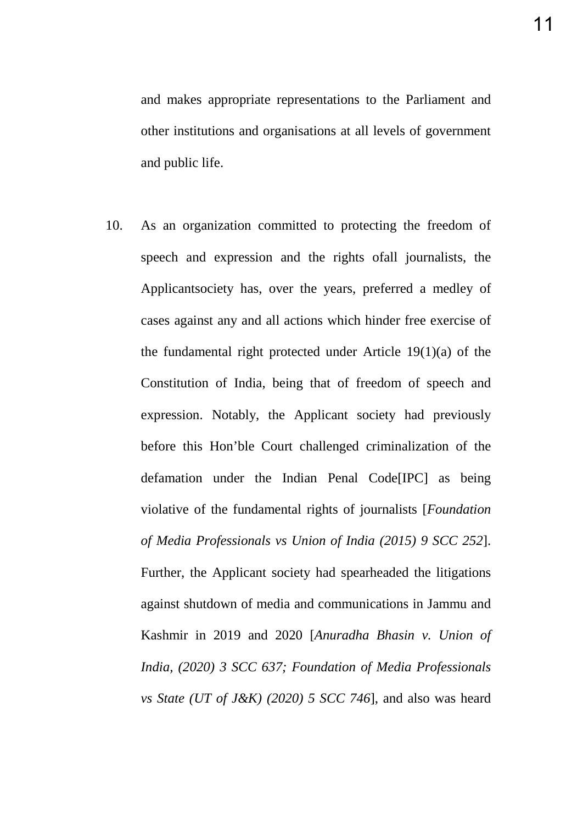and makes appropriate representations to the Parliament and other institutions and organisations at all levels of government and public life.

10. As an organization committed to protecting the freedom of speech and expression and the rights ofall journalists, the Applicantsociety has, over the years, preferred a medley of cases against any and all actions which hinder free exercise of the fundamental right protected under Article 19(1)(a) of the Constitution of India, being that of freedom of speech and expression. Notably, the Applicant society had previously before this Hon'ble Court challenged criminalization of the defamation under the Indian Penal Code[IPC] as being violative of the fundamental rights of journalists [*Foundation of Media Professionals vs Union of India (2015) 9 SCC 252*]. Further, the Applicant society had spearheaded the litigations against shutdown of media and communications in Jammu and Kashmir in 2019 and 2020 [*Anuradha Bhasin v. Union of India, (2020) 3 SCC 637; Foundation of Media Professionals vs State (UT of J&K) (2020) 5 SCC 746*], and also was heard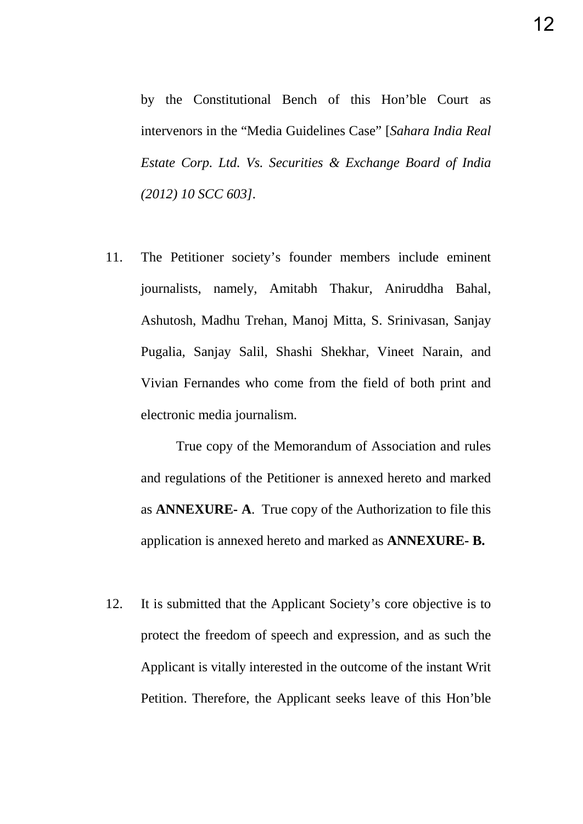by the Constitutional Bench of this Hon'ble Court as intervenors in the "Media Guidelines Case" [*Sahara India Real Estate Corp. Ltd. Vs. Securities & Exchange Board of India (2012) 10 SCC 603].*

11. The Petitioner society's founder members include eminent journalists, namely, Amitabh Thakur, Aniruddha Bahal, Ashutosh, Madhu Trehan, Manoj Mitta, S. Srinivasan, Sanjay Pugalia, Sanjay Salil, Shashi Shekhar, Vineet Narain, and Vivian Fernandes who come from the field of both print and electronic media journalism.

True copy of the Memorandum of Association and rules and regulations of the Petitioner is annexed hereto and marked as **ANNEXURE- A**. True copy of the Authorization to file this application is annexed hereto and marked as **ANNEXURE- B.** 

12. It is submitted that the Applicant Society's core objective is to protect the freedom of speech and expression, and as such the Applicant is vitally interested in the outcome of the instant Writ Petition. Therefore, the Applicant seeks leave of this Hon'ble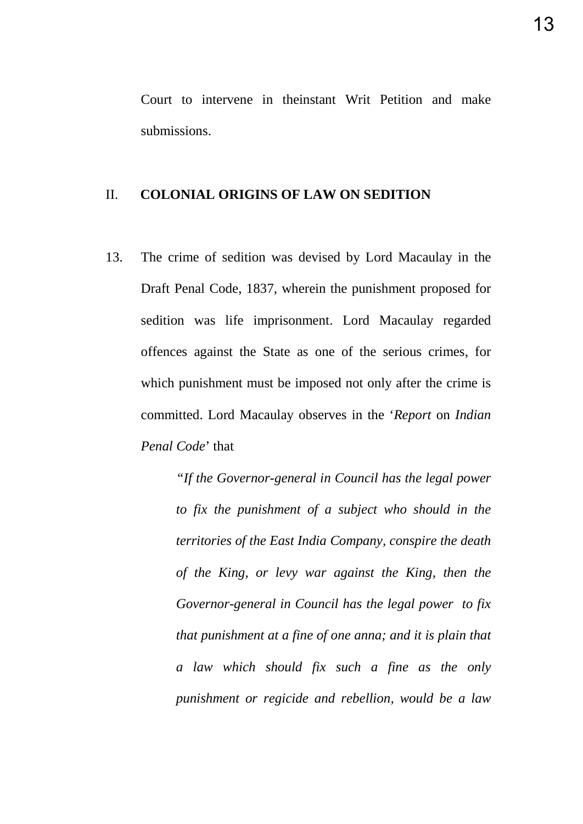Court to intervene in theinstant Writ Petition and make submissions.

#### II. **COLONIAL ORIGINS OF LAW ON SEDITION**

13. The crime of sedition was devised by Lord Macaulay in the Draft Penal Code, 1837, wherein the punishment proposed for sedition was life imprisonment. Lord Macaulay regarded offences against the State as one of the serious crimes, for which punishment must be imposed not only after the crime is committed. Lord Macaulay observes in the '*Report* on *Indian Penal Code*' that

> *"If the Governor-general in Council has the legal power to fix the punishment of a subject who should in the territories of the East India Company, conspire the death of the King, or levy war against the King, then the Governor-general in Council has the legal power to fix that punishment at a fine of one anna; and it is plain that a law which should fix such a fine as the only punishment or regicide and rebellion, would be a law*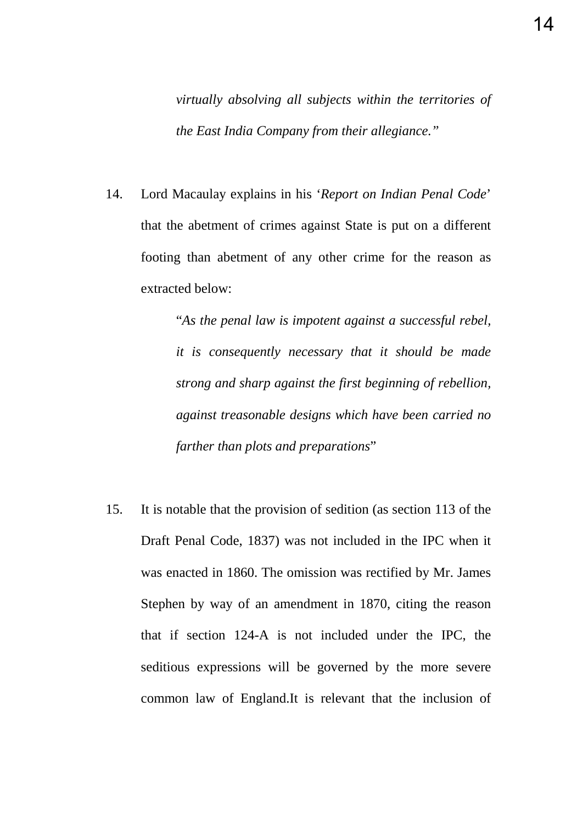*virtually absolving all subjects within the territories of the East India Company from their allegiance."* 

14. Lord Macaulay explains in his '*Report on Indian Penal Code*' that the abetment of crimes against State is put on a different footing than abetment of any other crime for the reason as extracted below:

> "*As the penal law is impotent against a successful rebel, it is consequently necessary that it should be made strong and sharp against the first beginning of rebellion, against treasonable designs which have been carried no farther than plots and preparations*"

15. It is notable that the provision of sedition (as section 113 of the Draft Penal Code, 1837) was not included in the IPC when it was enacted in 1860. The omission was rectified by Mr. James Stephen by way of an amendment in 1870, citing the reason that if section 124-A is not included under the IPC, the seditious expressions will be governed by the more severe common law of England.It is relevant that the inclusion of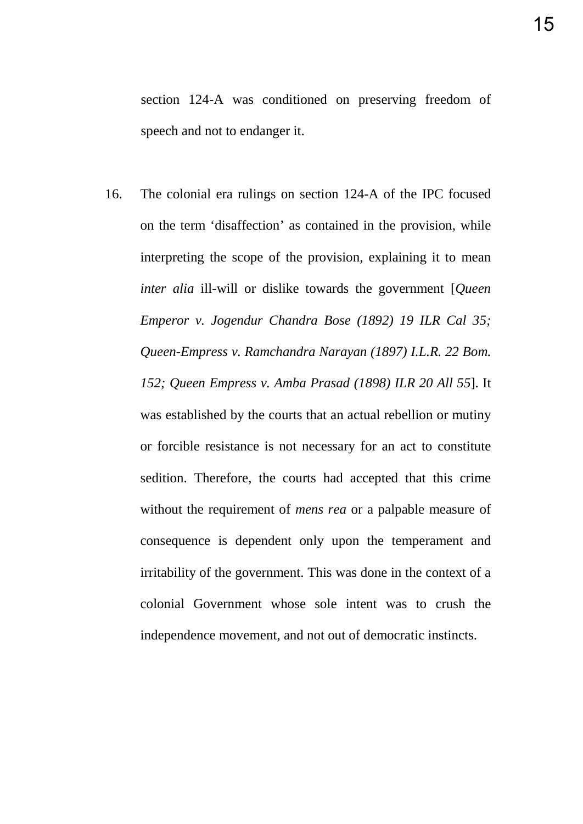16. The colonial era rulings on section 124-A of the IPC focused on the term 'disaffection' as contained in the provision, while interpreting the scope of the provision, explaining it to mean *inter alia* ill-will or dislike towards the government [*Queen Emperor v. Jogendur Chandra Bose (1892) 19 ILR Cal 35; Queen-Empress v. Ramchandra Narayan (1897) I.L.R. 22 Bom. 152; Queen Empress v. Amba Prasad (1898) ILR 20 All 55*]. It was established by the courts that an actual rebellion or mutiny or forcible resistance is not necessary for an act to constitute sedition. Therefore, the courts had accepted that this crime without the requirement of *mens rea* or a palpable measure of consequence is dependent only upon the temperament and irritability of the government. This was done in the context of a colonial Government whose sole intent was to crush the independence movement, and not out of democratic instincts.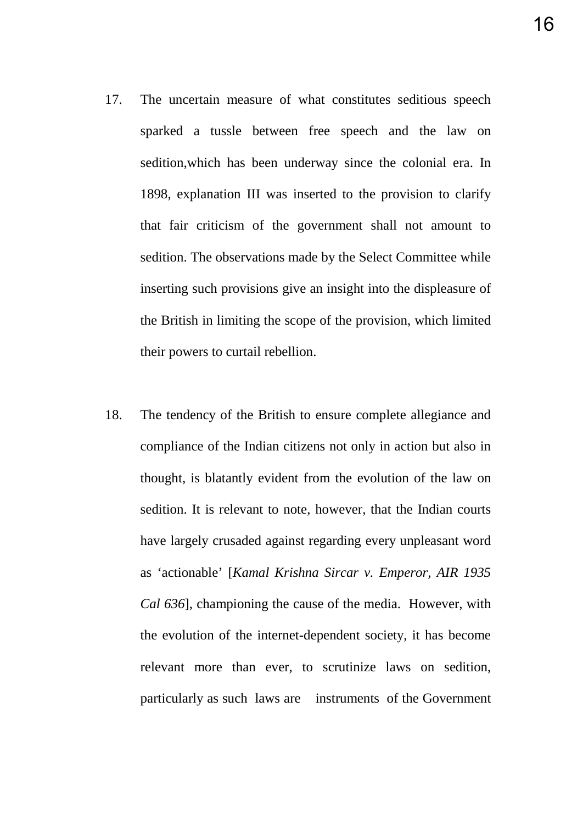- 17. The uncertain measure of what constitutes seditious speech
	- sparked a tussle between free speech and the law on sedition,which has been underway since the colonial era. In 1898, explanation III was inserted to the provision to clarify that fair criticism of the government shall not amount to sedition. The observations made by the Select Committee while inserting such provisions give an insight into the displeasure of the British in limiting the scope of the provision, which limited their powers to curtail rebellion.
- 18. The tendency of the British to ensure complete allegiance and compliance of the Indian citizens not only in action but also in thought, is blatantly evident from the evolution of the law on sedition. It is relevant to note, however, that the Indian courts have largely crusaded against regarding every unpleasant word as 'actionable' [*Kamal Krishna Sircar v. Emperor, AIR 1935 Cal 636*], championing the cause of the media. However, with the evolution of the internet-dependent society, it has become relevant more than ever, to scrutinize laws on sedition, particularly as such laws are instruments of the Government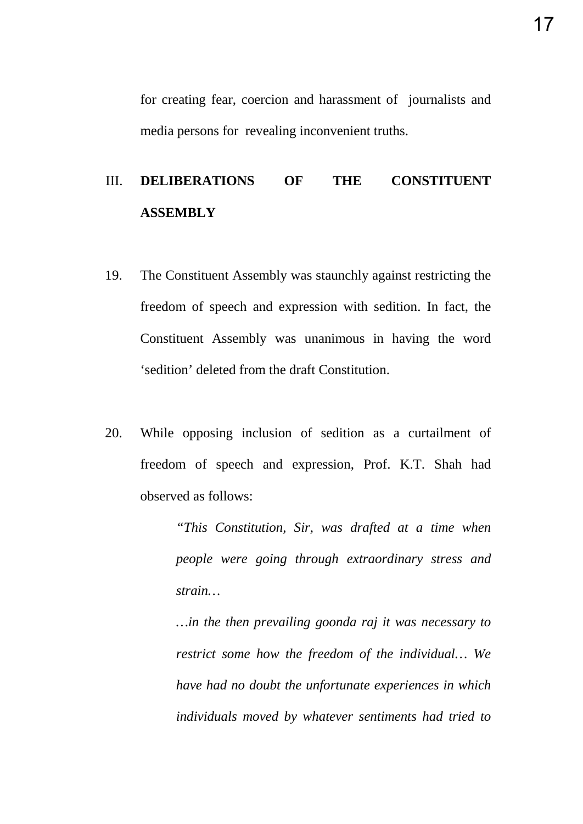for creating fear, coercion and harassment of journalists and media persons for revealing inconvenient truths.

# III. **DELIBERATIONS OF THE CONSTITUENT ASSEMBLY**

- 19. The Constituent Assembly was staunchly against restricting the freedom of speech and expression with sedition. In fact, the Constituent Assembly was unanimous in having the word 'sedition' deleted from the draft Constitution.
- 20. While opposing inclusion of sedition as a curtailment of freedom of speech and expression, Prof. K.T. Shah had observed as follows:

*"This Constitution, Sir, was drafted at a time when people were going through extraordinary stress and strain…* 

*…in the then prevailing goonda raj it was necessary to restrict some how the freedom of the individual… We have had no doubt the unfortunate experiences in which individuals moved by whatever sentiments had tried to*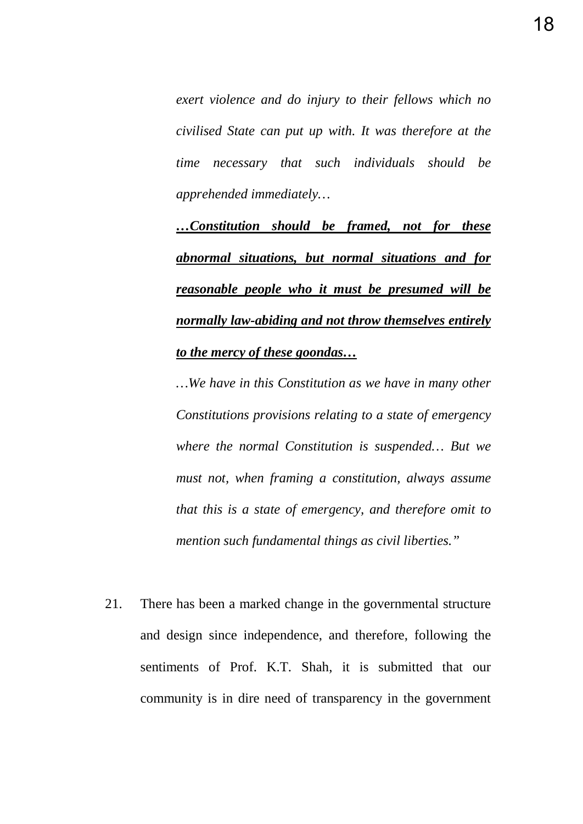*exert violence and do injury to their fellows which no civilised State can put up with. It was therefore at the time necessary that such individuals should be apprehended immediately…* 

*…Constitution should be framed, not for these abnormal situations, but normal situations and for reasonable people who it must be presumed will be normally law-abiding and not throw themselves entirely to the mercy of these goondas…*

*…We have in this Constitution as we have in many other Constitutions provisions relating to a state of emergency where the normal Constitution is suspended… But we must not, when framing a constitution, always assume that this is a state of emergency, and therefore omit to mention such fundamental things as civil liberties."*

21. There has been a marked change in the governmental structure and design since independence, and therefore, following the sentiments of Prof. K.T. Shah, it is submitted that our community is in dire need of transparency in the government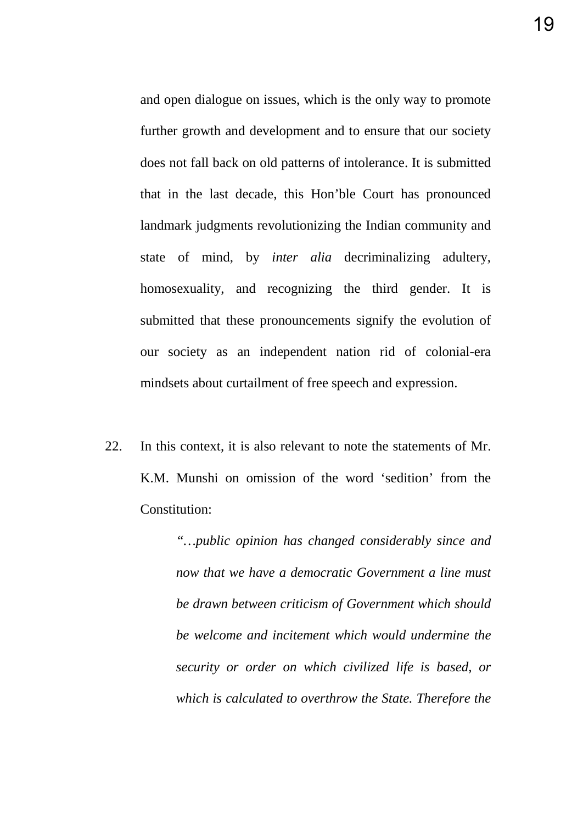and open dialogue on issues, which is the only way to promote further growth and development and to ensure that our society does not fall back on old patterns of intolerance. It is submitted that in the last decade, this Hon'ble Court has pronounced landmark judgments revolutionizing the Indian community and state of mind, by *inter alia* decriminalizing adultery, homosexuality, and recognizing the third gender. It is submitted that these pronouncements signify the evolution of our society as an independent nation rid of colonial-era mindsets about curtailment of free speech and expression.

22. In this context, it is also relevant to note the statements of Mr. K.M. Munshi on omission of the word 'sedition' from the Constitution:

> *"…public opinion has changed considerably since and now that we have a democratic Government a line must be drawn between criticism of Government which should be welcome and incitement which would undermine the security or order on which civilized life is based, or which is calculated to overthrow the State. Therefore the*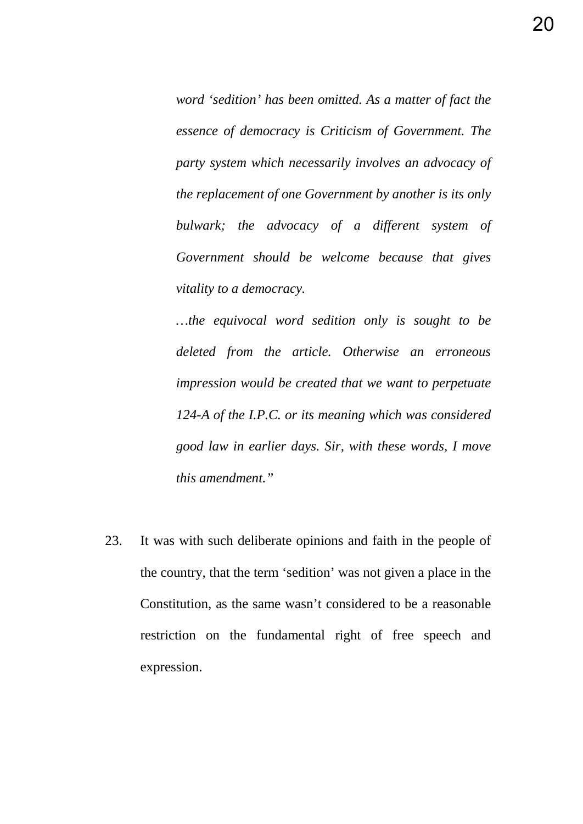*word 'sedition' has been omitted. As a matter of fact the essence of democracy is Criticism of Government. The party system which necessarily involves an advocacy of the replacement of one Government by another is its only bulwark; the advocacy of a different system of Government should be welcome because that gives vitality to a democracy.*

*…the equivocal word sedition only is sought to be deleted from the article. Otherwise an erroneous impression would be created that we want to perpetuate 124-A of the I.P.C. or its meaning which was considered good law in earlier days. Sir, with these words, I move this amendment."*

23. It was with such deliberate opinions and faith in the people of the country, that the term 'sedition' was not given a place in the Constitution, as the same wasn't considered to be a reasonable restriction on the fundamental right of free speech and expression.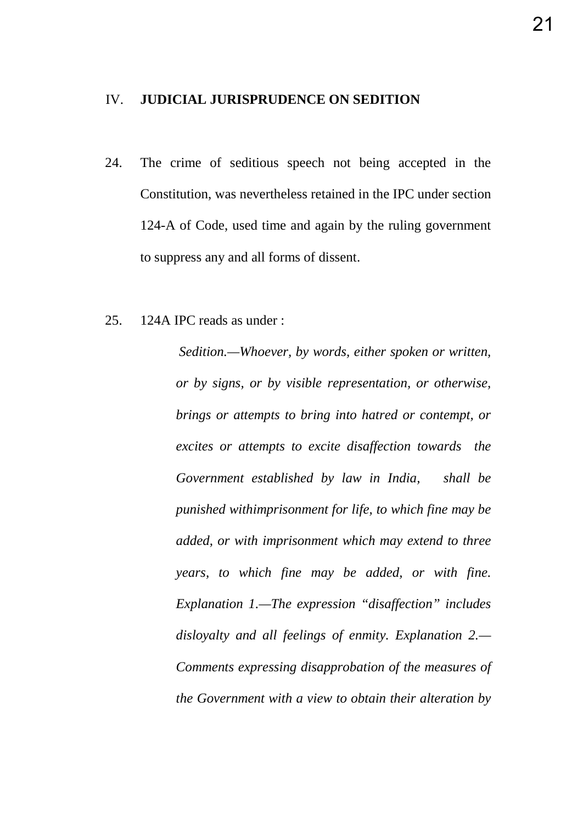#### IV. **JUDICIAL JURISPRUDENCE ON SEDITION**

- 24. The crime of seditious speech not being accepted in the Constitution, was nevertheless retained in the IPC under section 124-A of Code, used time and again by the ruling government to suppress any and all forms of dissent.
- 25. 124A IPC reads as under :

*Sedition.—Whoever, by words, either spoken or written, or by signs, or by visible representation, or otherwise, brings or attempts to bring into hatred or contempt, or excites or attempts to excite disaffection towards the Government established by law in India, shall be punished withimprisonment for life, to which fine may be added, or with imprisonment which may extend to three years, to which fine may be added, or with fine. Explanation 1.—The expression "disaffection" includes disloyalty and all feelings of enmity. Explanation 2.— Comments expressing disapprobation of the measures of the Government with a view to obtain their alteration by*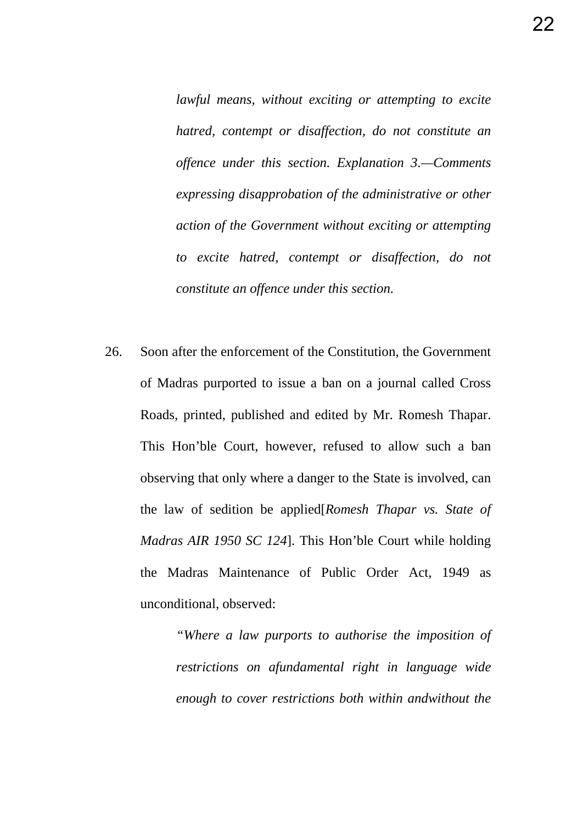*lawful means, without exciting or attempting to excite hatred, contempt or disaffection, do not constitute an offence under this section. Explanation 3.—Comments expressing disapprobation of the administrative or other action of the Government without exciting or attempting to excite hatred, contempt or disaffection, do not constitute an offence under this section.*

26. Soon after the enforcement of the Constitution, the Government of Madras purported to issue a ban on a journal called Cross Roads, printed, published and edited by Mr. Romesh Thapar. This Hon'ble Court, however, refused to allow such a ban observing that only where a danger to the State is involved, can the law of sedition be applied[*Romesh Thapar vs. State of Madras AIR 1950 SC 124*]. This Hon'ble Court while holding the Madras Maintenance of Public Order Act, 1949 as unconditional, observed:

> *"Where a law purports to authorise the imposition of restrictions on afundamental right in language wide enough to cover restrictions both within andwithout the*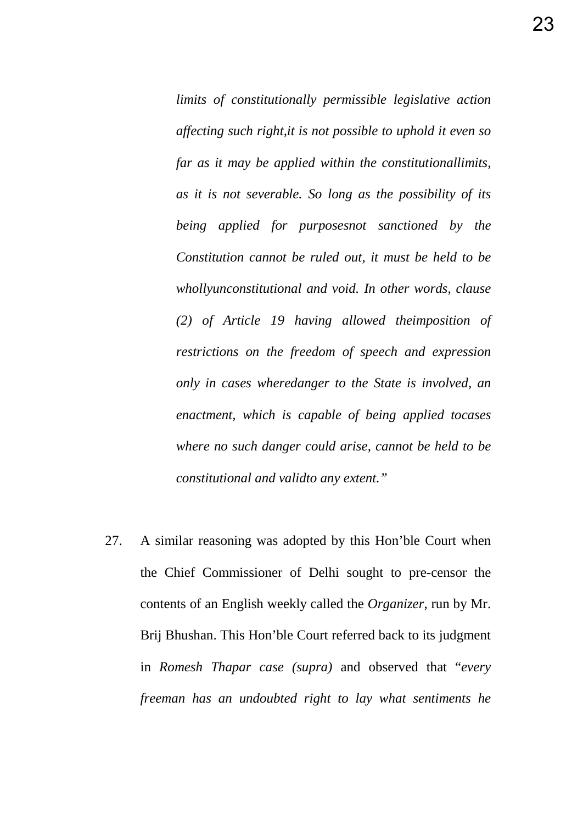*limits of constitutionally permissible legislative action affecting such right,it is not possible to uphold it even so far as it may be applied within the constitutionallimits, as it is not severable. So long as the possibility of its being applied for purposesnot sanctioned by the Constitution cannot be ruled out, it must be held to be whollyunconstitutional and void. In other words, clause (2) of Article 19 having allowed theimposition of restrictions on the freedom of speech and expression only in cases wheredanger to the State is involved, an enactment, which is capable of being applied tocases where no such danger could arise, cannot be held to be constitutional and validto any extent."* 

27. A similar reasoning was adopted by this Hon'ble Court when the Chief Commissioner of Delhi sought to pre-censor the contents of an English weekly called the *Organizer*, run by Mr. Brij Bhushan. This Hon'ble Court referred back to its judgment in *Romesh Thapar case (supra)* and observed that "*every freeman has an undoubted right to lay what sentiments he*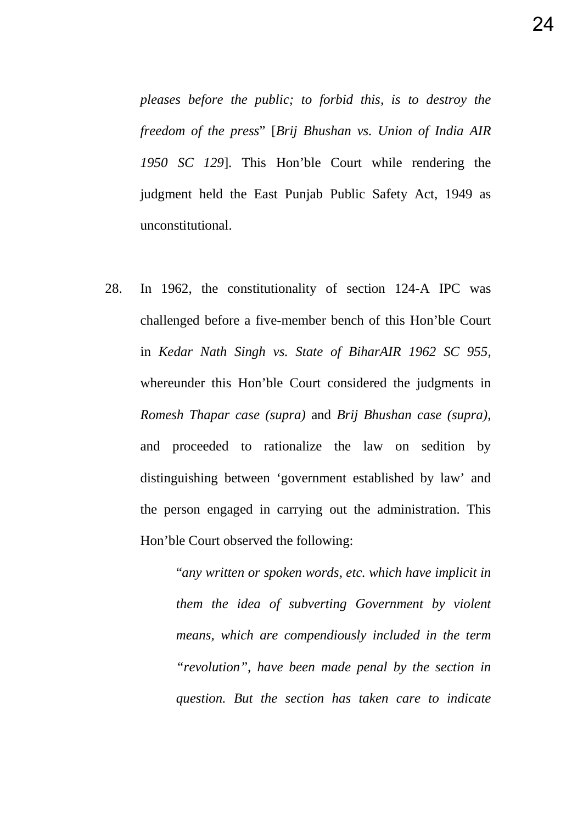*pleases before the public; to forbid this, is to destroy the freedom of the press*" [*Brij Bhushan vs. Union of India AIR 1950 SC 129*]. This Hon'ble Court while rendering the judgment held the East Punjab Public Safety Act, 1949 as unconstitutional.

28. In 1962, the constitutionality of section 124-A IPC was challenged before a five-member bench of this Hon'ble Court in *Kedar Nath Singh vs. State of BiharAIR 1962 SC 955,*  whereunder this Hon'ble Court considered the judgments in *Romesh Thapar case (supra)* and *Brij Bhushan case (supra)*, and proceeded to rationalize the law on sedition by distinguishing between 'government established by law' and the person engaged in carrying out the administration. This Hon'ble Court observed the following:

> "*any written or spoken words, etc. which have implicit in them the idea of subverting Government by violent means, which are compendiously included in the term "revolution", have been made penal by the section in question. But the section has taken care to indicate*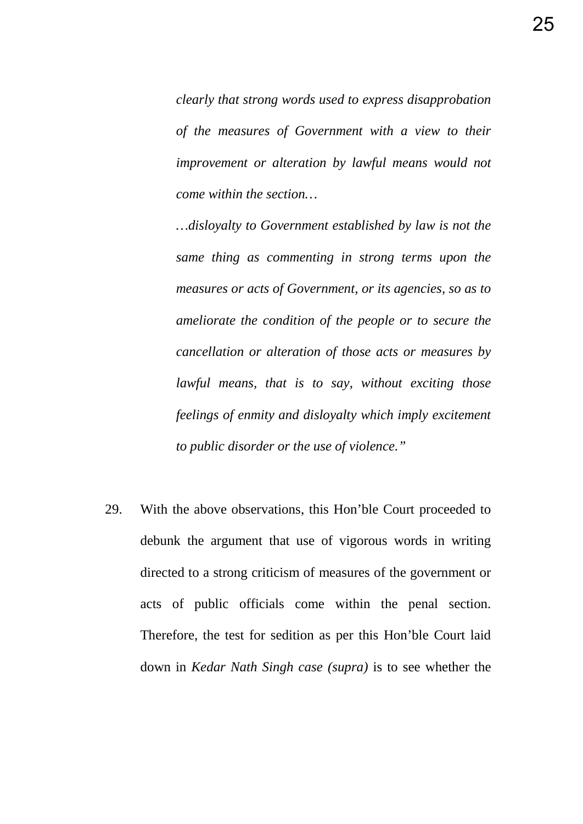*clearly that strong words used to express disapprobation of the measures of Government with a view to their improvement or alteration by lawful means would not come within the section…*

*…disloyalty to Government established by law is not the same thing as commenting in strong terms upon the measures or acts of Government, or its agencies, so as to ameliorate the condition of the people or to secure the cancellation or alteration of those acts or measures by lawful means, that is to say, without exciting those feelings of enmity and disloyalty which imply excitement to public disorder or the use of violence."* 

29. With the above observations, this Hon'ble Court proceeded to debunk the argument that use of vigorous words in writing directed to a strong criticism of measures of the government or acts of public officials come within the penal section. Therefore, the test for sedition as per this Hon'ble Court laid down in *Kedar Nath Singh case (supra)* is to see whether the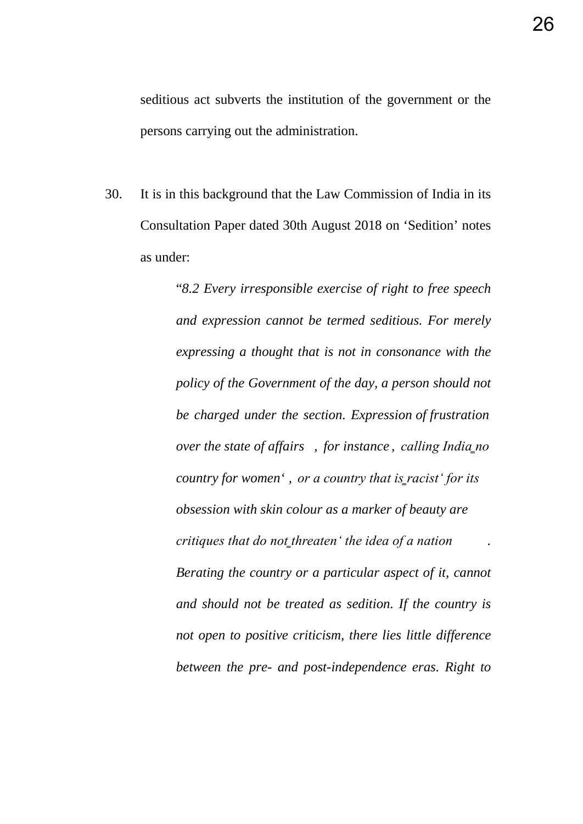seditious act subverts the institution of the government or the persons carrying out the administration.

30. It is in this background that the Law Commission of India in its Consultation Paper dated 30th August 2018 on 'Sedition' notes as under:

> "*8.2 Every irresponsible exercise of right to free speech and expression cannot be termed seditious. For merely expressing a thought that is not in consonance with the policy of the Government of the day, a person should not be charged under the section. Expression of frustration over the state of affairs, for instance, calling India no country for women', or a country that is racist' for its obsession with skin colour as a marker of beauty are critiques that do not threaten' the idea of a nation Berating the country or a particular aspect of it, cannot and should not be treated as sedition. If the country is not open to positive criticism, there lies little difference between the pre- and post-independence eras. Right to*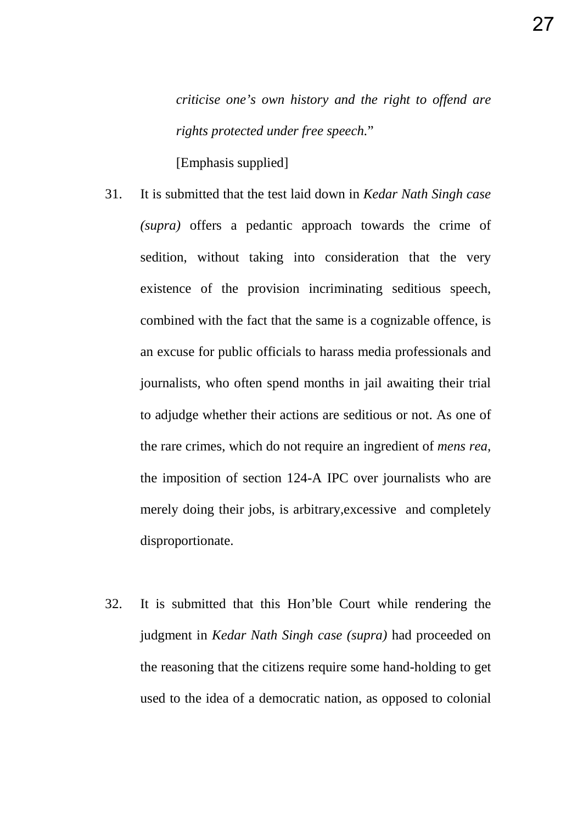*criticise one's own history and the right to offend are rights protected under free speech.*"

[Emphasis supplied]

- 31. It is submitted that the test laid down in *Kedar Nath Singh case (supra)* offers a pedantic approach towards the crime of sedition, without taking into consideration that the very existence of the provision incriminating seditious speech, combined with the fact that the same is a cognizable offence, is an excuse for public officials to harass media professionals and journalists, who often spend months in jail awaiting their trial to adjudge whether their actions are seditious or not. As one of the rare crimes, which do not require an ingredient of *mens rea,*  the imposition of section 124-A IPC over journalists who are merely doing their jobs, is arbitrary,excessive and completely disproportionate.
- 32. It is submitted that this Hon'ble Court while rendering the judgment in *Kedar Nath Singh case (supra)* had proceeded on the reasoning that the citizens require some hand-holding to get used to the idea of a democratic nation, as opposed to colonial

27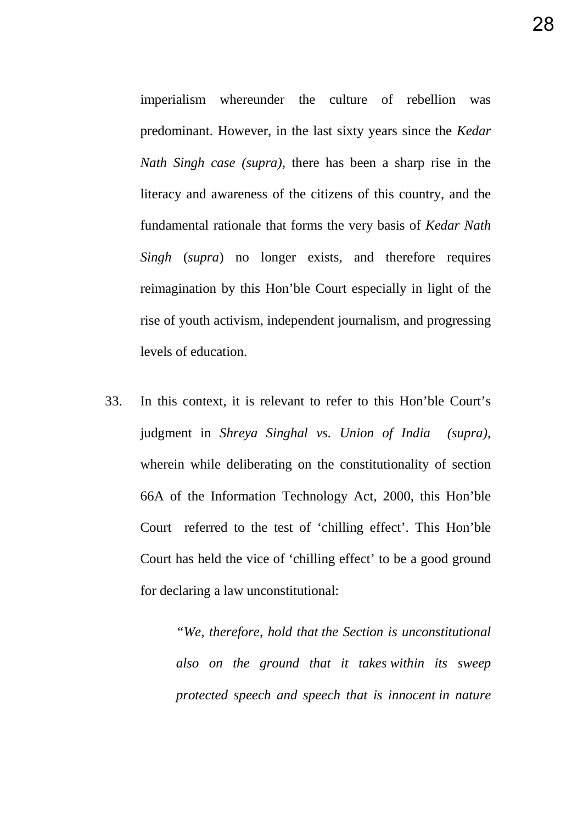imperialism whereunder the culture of rebellion was predominant. However, in the last sixty years since the *Kedar Nath Singh case (supra),* there has been a sharp rise in the literacy and awareness of the citizens of this country, and the fundamental rationale that forms the very basis of *Kedar Nath Singh* (*supra*) no longer exists, and therefore requires reimagination by this Hon'ble Court especially in light of the rise of youth activism, independent journalism, and progressing levels of education.

33. In this context, it is relevant to refer to this Hon'ble Court's judgment in *Shreya Singhal vs. Union of India (supra),*  wherein while deliberating on the constitutionality of section 66A of the Information Technology Act, 2000, this Hon'ble Court referred to the test of 'chilling effect'. This Hon'ble Court has held the vice of 'chilling effect' to be a good ground for declaring a law unconstitutional:

> *"We, therefore, hold that the Section is unconstitutional also on the ground that it takes within its sweep protected speech and speech that is innocent in nature*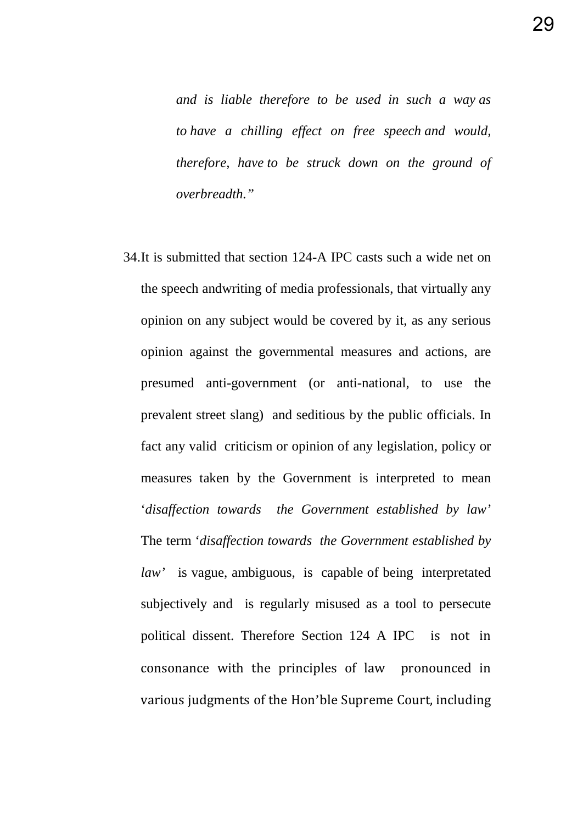*and is liable therefore to be used in such a way as to have a chilling effect on free speech and would, therefore, have to be struck down on the ground of overbreadth."*

34.It is submitted that section 124-A IPC casts such a wide net on the speech andwriting of media professionals, that virtually any opinion on any subject would be covered by it, as any serious opinion against the governmental measures and actions, are presumed anti-government (or anti-national, to use the prevalent street slang) and seditious by the public officials. In fact any valid criticism or opinion of any legislation, policy or measures taken by the Government is interpreted to mean '*disaffection towards the Government established by law'*  The term '*disaffection towards the Government established by law'* is vague, ambiguous, is capable of being interpretated subjectively and is regularly misused as a tool to persecute political dissent. Therefore Section 124 A IPC is not in consonance with the principles of law pronounced in various judgments of the Hon'ble Supreme Court, including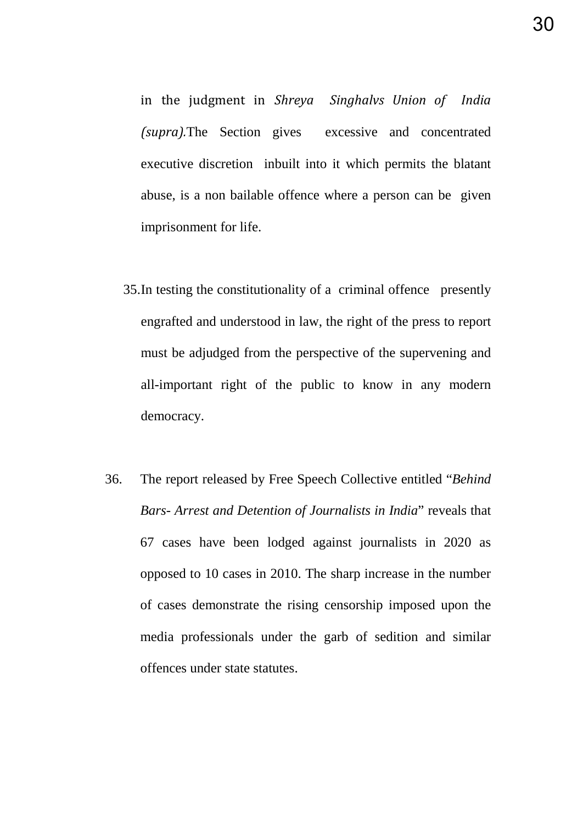in the judgment in *Shreya Singhalvs Union of India (supra).*The Section gives excessive and concentrated executive discretion inbuilt into it which permits the blatant abuse, is a non bailable offence where a person can be given imprisonment for life.

- 35.In testing the constitutionality of a criminal offence presently engrafted and understood in law, the right of the press to report must be adjudged from the perspective of the supervening and all-important right of the public to know in any modern democracy.
- 36. The report released by Free Speech Collective entitled "*Behind Bars- Arrest and Detention of Journalists in India*" reveals that 67 cases have been lodged against journalists in 2020 as opposed to 10 cases in 2010. The sharp increase in the number of cases demonstrate the rising censorship imposed upon the media professionals under the garb of sedition and similar offences under state statutes.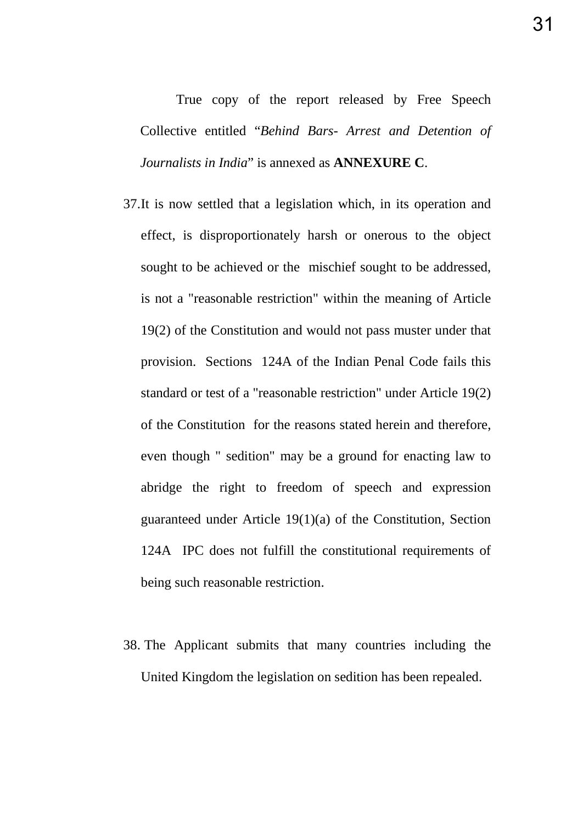True copy of the report released by Free Speech Collective entitled "*Behind Bars- Arrest and Detention of Journalists in India*" is annexed as **ANNEXURE C**.

- 37.It is now settled that a legislation which, in its operation and effect, is disproportionately harsh or onerous to the object sought to be achieved or the mischief sought to be addressed, is not a "reasonable restriction" within the meaning of Article 19(2) of the Constitution and would not pass muster under that provision. Sections 124A of the Indian Penal Code fails this standard or test of a "reasonable restriction" under Article 19(2) of the Constitution for the reasons stated herein and therefore, even though " sedition" may be a ground for enacting law to abridge the right to freedom of speech and expression guaranteed under Article 19(1)(a) of the Constitution, Section 124A IPC does not fulfill the constitutional requirements of being such reasonable restriction.
- 38. The Applicant submits that many countries including the United Kingdom the legislation on sedition has been repealed.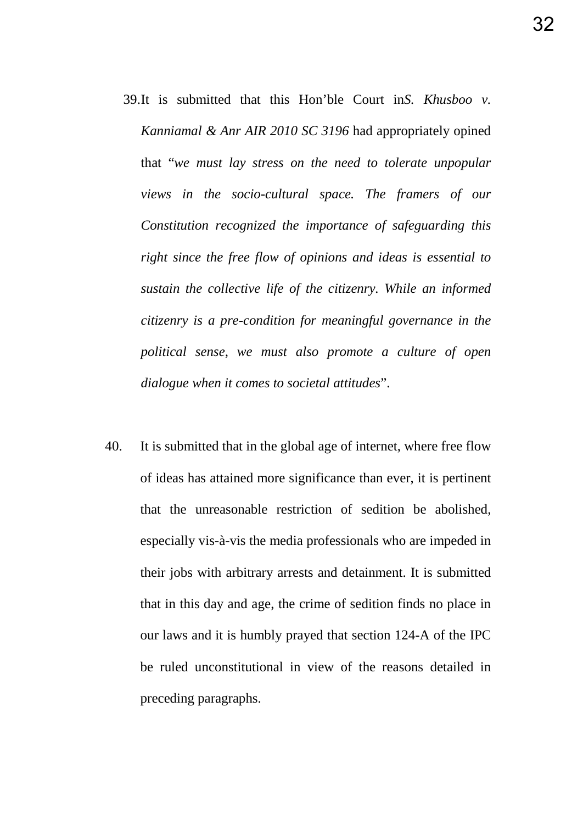- 39.It is submitted that this Hon'ble Court in*S. Khusboo v. Kanniamal & Anr AIR 2010 SC 3196* had appropriately opined that "*we must lay stress on the need to tolerate unpopular views in the socio-cultural space. The framers of our Constitution recognized the importance of safeguarding this right since the free flow of opinions and ideas is essential to sustain the collective life of the citizenry. While an informed citizenry is a pre-condition for meaningful governance in the political sense, we must also promote a culture of open dialogue when it comes to societal attitudes*".
- 40. It is submitted that in the global age of internet, where free flow of ideas has attained more significance than ever, it is pertinent that the unreasonable restriction of sedition be abolished, especially vis-à-vis the media professionals who are impeded in their jobs with arbitrary arrests and detainment. It is submitted that in this day and age, the crime of sedition finds no place in our laws and it is humbly prayed that section 124-A of the IPC be ruled unconstitutional in view of the reasons detailed in preceding paragraphs.